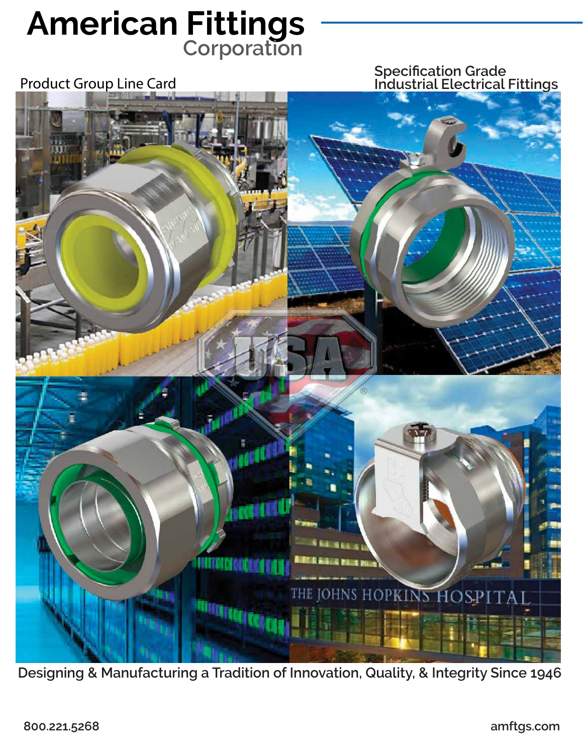# **American Fittings Corporation**

**Specification Grade** Product Group Line Card **Industrial Electrical Fittings**



**Designing & Manufacturing a Tradition of Innovation, Quality, & Integrity Since 1946**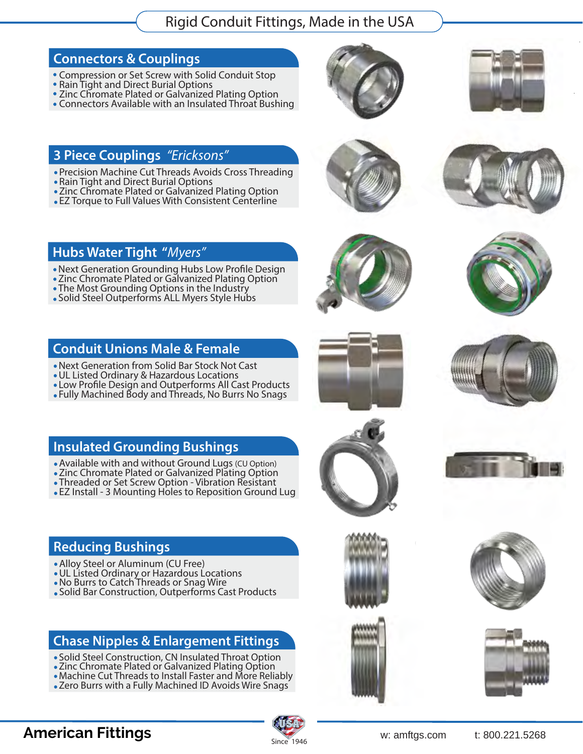Rigid Conduit Fittings, Made in the USA

#### **Connectors & Couplings**

- Compression or Set Screw with Solid Conduit Stop
- Rain Tight and Direct Burial Options
- **Zinc Chromate Plated or Galvanized Plating Option**
- Connectors Available with an Insulated Throat Bushing

#### **3 Piece Couplings** *"Ericksons"*

- Precision Machine Cut Threads Avoids Cross Threading
- Rain Tight and Direct Burial Options
- Zinc Chromate Plated or Galvanized Plating Option
- EZ Torque to Full Values With Consistent Centerline

### **Hubs Water Tight "***Myers"*

- . Next Generation Grounding Hubs Low Profile Design
- Zinc Chromate Plated or Galvanized Plating Option
- The Most Grounding Options in the Industry
- Solid Steel Outperforms ALL Myers Style Hubs

#### **Conduit Unions Male & Female**

- Next Generation from Solid Bar Stock Not Cast
- UL Listed Ordinary & Hazardous Locations
- . Low Profile Design and Outperforms All Cast Products
- Fully Machined Body and Threads, No Burrs No Snags

#### **Insulated Grounding Bushings**

- Available with and without Ground Lugs (CU Option)
- Zinc Chromate Plated or Galvanized Plating Option
- Threaded or Set Screw Option Vibration Resistant
- EZ Install 3 Mounting Holes to Reposition Ground Lug

### **Reducing Bushings**

- Alloy Steel or Aluminum (CU Free)
- UL Listed Ordinary or Hazardous Locations
- No Burrs to Catch Threads or Snag Wire
- Solid Bar Construction, Outperforms Cast Products

#### **Chase Nipples & Enlargement Fittings**

- Solid Steel Construction, CN Insulated Throat Option
- Zinc Chromate Plated or Galvanized Plating Option
- Machine Cut Threads to Install Faster and More Reliably
- Zero Burrs with a Fully Machined ID Avoids Wire Snags









































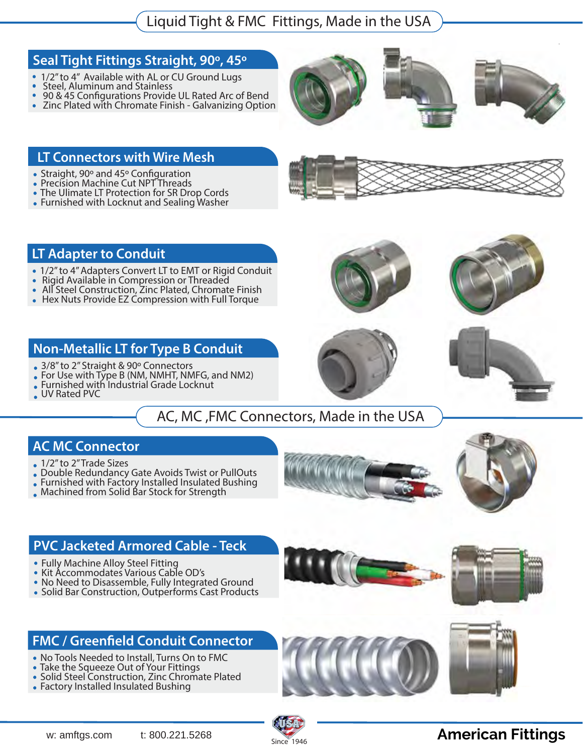#### **Seal Tight Fittings Straight, 90º, 45º**

- 1/2" to 4" Available with AL or CU Ground Lugs
- Steel, Aluminum and Stainless  $\bullet$
- 90 & 45 Configurations Provide UL Rated Arc of Bend  $\bullet$
- Zinc Plated with Chromate Finish Galvanizing Option  $\bullet$





#### **LT Connectors with Wire Mesh**

- Straight, 90° and 45° Configuration
- Precision Machine Cut NPT Threads
- The Ulimate LT Protection for SR Drop Cords
- Furnished with Locknut and Sealing Washer

#### **LT Adapter to Conduit**

- 1/2" to 4" Adapters Convert LT to EMT or Rigid Conduit
- Rigid Available in Compression or Threaded  $\bullet$
- All Steel Construction, Zinc Plated, Chromate Finish  $\bullet$
- Hex Nuts Provide EZ Compression with Full Torque  $\bullet$

### **Non-Metallic LT for Type B Conduit**

- 3/8" to 2" Straight & 90° Connectors
- For Use with Type B (NM, NMHT, NMFG, and NM2)
- Furnished with Industrial Grade Locknut
- UV Rated PVC  $\bullet$

### AC, MC ,FMC Connectors, Made in the USA

#### **AC MC Connector**

- . 1/2" to 2" Trade Sizes
- Double Redundancy Gate Avoids Twist or PullOuts
- Furnished with Factory Installed Insulated Bushing
- Machined from Solid Bar Stock for Strength





#### **PVC Jacketed Armored Cable - Teck**

- Fully Machine Alloy Steel Fitting  $\bullet$
- Kit Accommodates Various Cable OD's  $\bullet$
- No Need to Disassemble, Fully Integrated Ground  $\bullet$
- Solid Bar Construction, Outperforms Cast Products

### **FMC** / Greenfield Conduit Connector

- No Tools Needed to Install, Turns On to FMC
- Take the Squeeze Out of Your Fittings
- Solid Steel Construction, Zinc Chromate Plated
- Factory Installed Insulated Bushing







### **American Fittings ®**







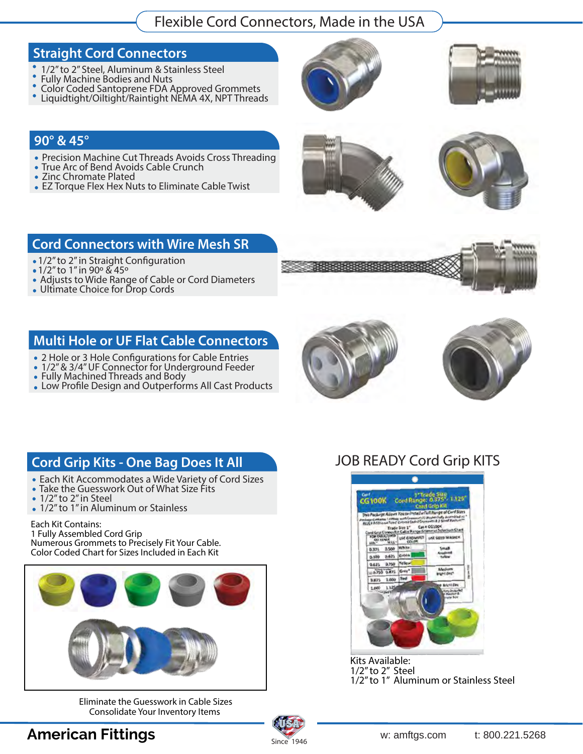### Flexible Cord Connectors, Made in the USA

#### **Straight Cord Connectors**

- 1/2" to 2" Steel, Aluminum & Stainless Steel  $\bullet$
- Fully Machine Bodies and Nuts  $\bullet$  $\bullet$
- Color Coded Santoprene FDA Approved Grommets
- Liquidtight/Oiltight/Raintight NEMA 4X, NPT Threads





#### **90° & 45°**

- Precision Machine Cut Threads Avoids Cross Threading
- True Arc of Bend Avoids Cable Crunch
- Zinc Chromate Plated
- EZ Torque Flex Hex Nuts to Eliminate Cable Twist

#### **Cord Connectors with Wire Mesh SR**

- 1/2" to 2" in Straight Configuration  $\bullet$
- 1/2" to 1" in 90º & 45º  $\bullet$
- Adjusts to Wide Range of Cable or Cord Diameters  $\bullet$
- Ultimate Choice for Drop Cords

#### **Multi Hole or UF Flat Cable Connectors**

- 2 Hole or 3 Hole Configurations for Cable Entries
- 1/2" & 3/4" UF Connector for Underground Feeder
- Fully Machined Threads and Body
- Low Profile Design and Outperforms All Cast Products







## **Cord Grip Kits - One Bag Does It All**

- Each Kit Accommodates a Wide Variety of Cord Sizes
- Take the Guesswork Out of What Size Fits
- 1/2" to 2" in Steel
- 1/2" to 1" in Aluminum or Stainless

#### Each Kit Contains:

1 Fully Assembled Cord Grip Numerous Grommets to Precisely Fit Your Cable. Color Coded Chart for Sizes Included in Each Kit



Eliminate the Guesswork in Cable Sizes Consolidate Your Inventory Items

### JOB READY Cord Grip KITS



Kits Available: 1/2" to 2" Steel 1/2" to 1" Aluminum or Stainless Steel



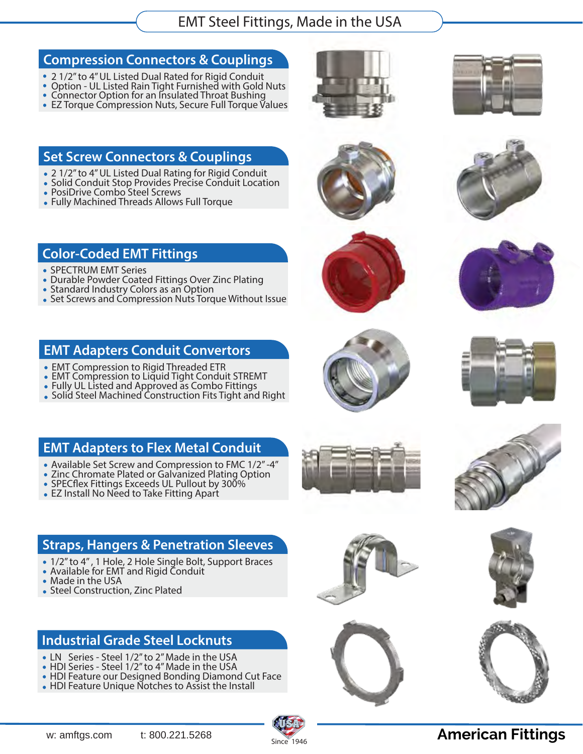### EMT Steel Fittings, Made in the USA

#### **Compression Connectors & Couplings**

- 2 1/2" to 4" UL Listed Dual Rated for Rigid Conduit
- Option UL Listed Rain Tight Furnished with Gold Nuts  $\bullet$
- Connector Option for an Insulated Throat Bushing • EZ Torque Compression Nuts, Secure Full Torque Values





#### **Set Screw Connectors & Couplings**

- 2 1/2" to 4" UL Listed Dual Rating for Rigid Conduit
- Solid Conduit Stop Provides Precise Conduit Location
- PosiDrive Combo Steel Screws
- Fully Machined Threads Allows Full Torque

#### **Color-Coded EMT Fittings**

- SPECTRUM EMT Series
- Durable Powder Coated Fittings Over Zinc Plating  $\bullet$
- Standard Industry Colors as an Option
- Set Screws and Compression Nuts Torque Without Issue

#### **EMT Adapters Conduit Convertors**

- EMT Compression to Rigid Threaded ETR
- EMT Compression to Liquid Tight Conduit STREMT
- Fully UL Listed and Approved as Combo Fittings  $\bullet$
- Solid Steel Machined Construction Fits Tight and Right  $\bullet$



- Available Set Screw and Compression to FMC 1/2" -4"
- Zinc Chromate Plated or Galvanized Plating Option
- $\bullet$  SPECflex Fittings Exceeds UL Pullout by 300%
- EZ Install No Need to Take Fitting Apart

### **Straps, Hangers & Penetration Sleeves**

- 1/2" to 4" , 1 Hole, 2 Hole Single Bolt, Support Braces  $\bullet$
- Available for EMT and Rigid Conduit  $\bullet$
- Made in the USA
- Steel Construction, Zinc Plated

#### **Industrial Grade Steel Locknuts**

- LN Series Steel 1/2" to 2" Made in the USA
- HDI Series Steel 1/2" to 4" Made in the USA  $\bullet$
- HDI Feature our Designed Bonding Diamond Cut Face  $\bullet$
- HDI Feature Unique Notches to Assist the Install



















# Since 1946

### **American Fittings ®**